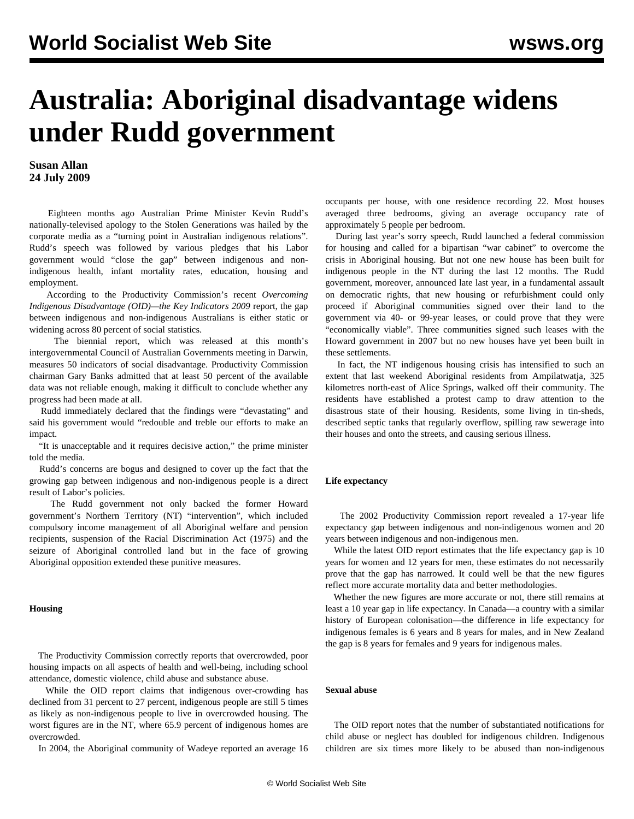# **Australia: Aboriginal disadvantage widens under Rudd government**

**Susan Allan 24 July 2009**

 Eighteen months ago Australian Prime Minister Kevin Rudd's nationally-televised apology to the Stolen Generations was hailed by the corporate media as a "turning point in Australian indigenous relations". Rudd's speech was followed by various pledges that his Labor government would "close the gap" between indigenous and nonindigenous health, infant mortality rates, education, housing and employment.

 According to the Productivity Commission's recent *Overcoming Indigenous Disadvantage (OID)—the Key Indicators 2009* report, the gap between indigenous and non-indigenous Australians is either static or widening across 80 percent of social statistics.

 The biennial report, which was released at this month's intergovernmental Council of Australian Governments meeting in Darwin, measures 50 indicators of social disadvantage. Productivity Commission chairman Gary Banks admitted that at least 50 percent of the available data was not reliable enough, making it difficult to conclude whether any progress had been made at all.

 Rudd immediately declared that the findings were "devastating" and said his government would "redouble and treble our efforts to make an impact.

 "It is unacceptable and it requires decisive action," the prime minister told the media.

 Rudd's concerns are bogus and designed to cover up the fact that the growing gap between indigenous and non-indigenous people is a direct result of Labor's policies.

 The Rudd government not only backed the former Howard government's Northern Territory (NT) "intervention", which included compulsory income management of all Aboriginal welfare and pension recipients, suspension of the Racial Discrimination Act (1975) and the seizure of Aboriginal controlled land but in the face of growing Aboriginal opposition extended these punitive measures.

### **Housing**

 The Productivity Commission correctly reports that overcrowded, poor housing impacts on all aspects of health and well-being, including school attendance, domestic violence, child abuse and substance abuse.

 While the OID report claims that indigenous over-crowding has declined from 31 percent to 27 percent, indigenous people are still 5 times as likely as non-indigenous people to live in overcrowded housing. The worst figures are in the NT, where 65.9 percent of indigenous homes are overcrowded.

In 2004, the Aboriginal community of Wadeye reported an average 16

occupants per house, with one residence recording 22. Most houses averaged three bedrooms, giving an average occupancy rate of approximately 5 people per bedroom.

 During last year's sorry speech, Rudd launched a federal commission for housing and called for a bipartisan "war cabinet" to overcome the crisis in Aboriginal housing. But not one new house has been built for indigenous people in the NT during the last 12 months. The Rudd government, moreover, announced late last year, in a fundamental assault on democratic rights, that new housing or refurbishment could only proceed if Aboriginal communities signed over their land to the government via 40- or 99-year leases, or could prove that they were "economically viable". Three communities signed such leases with the Howard government in 2007 but no new houses have yet been built in these settlements.

 In fact, the NT indigenous housing crisis has intensified to such an extent that last weekend Aboriginal residents from Ampilatwatja, 325 kilometres north-east of Alice Springs, walked off their community. The residents have established a protest camp to draw attention to the disastrous state of their housing. Residents, some living in tin-sheds, described septic tanks that regularly overflow, spilling raw sewerage into their houses and onto the streets, and causing serious illness.

#### **Life expectancy**

 The 2002 Productivity Commission report revealed a 17-year life expectancy gap between indigenous and non-indigenous women and 20 years between indigenous and non-indigenous men.

 While the latest OID report estimates that the life expectancy gap is 10 years for women and 12 years for men, these estimates do not necessarily prove that the gap has narrowed. It could well be that the new figures reflect more accurate mortality data and better methodologies.

 Whether the new figures are more accurate or not, there still remains at least a 10 year gap in life expectancy. In Canada—a country with a similar history of European colonisation—the difference in life expectancy for indigenous females is 6 years and 8 years for males, and in New Zealand the gap is 8 years for females and 9 years for indigenous males.

## **Sexual abuse**

 The OID report notes that the number of substantiated notifications for child abuse or neglect has doubled for indigenous children. Indigenous children are six times more likely to be abused than non-indigenous